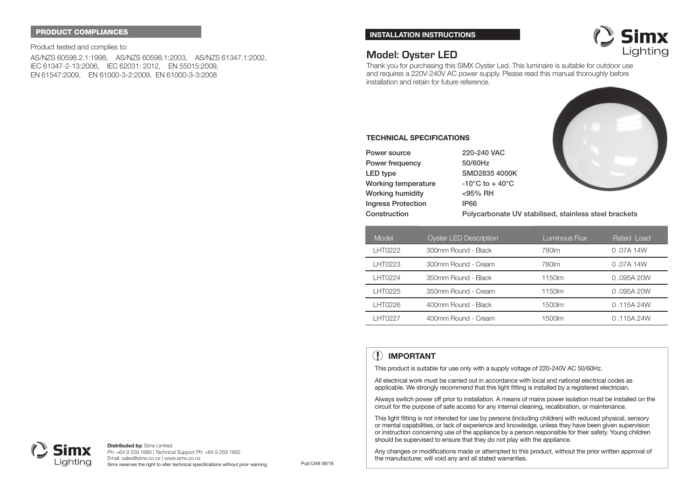#### **PRODUCT COMPLIANCES**

Product tested and complies to: AS/NZS 60598.2.1:1998, AS/NZS 60598.1:2003, AS/NZS 61347.1:2002, IEC 61347-2-13:2006, IEC 62031: 2012, EN 55015:2009, EN 61547:2009, EN 61000-3-2:2009, EN 61000-3-3:2008

#### **INSTALLATION INSTRUCTIONS**



# **Model: Oyster LED**

**TECHNICAL SPECIFICATIONS**

**Power frequency 50/60Hz**

**LED type SMD2835 4000K Working temperature -10°C to + 40°C Working humidity <95% RH Ingress Protection IP66**

**Power source**

**Construction**

Thank you for purchasing this SIMX Oyster Led. This luminaire is suitable for outdoor use and requires a 220V-240V AC power supply. Please read this manual thoroughly before installation and retain for future reference.

**220-240 VAC**



**Polycarbonate UV stabilised, stainless steel brackets**

| Model          | <b>Oyster LED Description</b> | Luminous Flux | Rated Load  |
|----------------|-------------------------------|---------------|-------------|
| LHT0222        | 300mm Round - Black           | 780 lm        | $0.07A$ 14W |
| LHT0223        | 300mm Round - Cream           | 780 lm        | $0.07A$ 14W |
| <b>LHT0224</b> | 350mm Round - Black           | 1150lm        | 0.095A20W   |
| LHT0225        | 350mm Round - Cream           | 1150lm        | 0.095A20W   |
| LHT0226        | 400mm Round - Black           | 1500lm        | 0.115A24W   |
| LHT0227        | 400mm Round - Cream           | 1500lm        | 0.115A24W   |

# **IMPORTANT**

This product is suitable for use only with a supply voltage of 220-240V AC 50/60Hz.

All electrical work must be carried out in accordance with local and national electrical codes as applicable. We strongly recommend that this light fitting is installed by a registered electrician.

Always switch power off prior to installation. A means of mains power isolation must be installed on the circuit for the purpose of safe access for any internal cleaning, recalibration, or maintenance.

This light fitting is not intended for use by persons (including children) with reduced physical, sensory or mental capabilities, or lack of experience and knowledge, unless they have been given supervision or instruction concerning use of the appliance by a person responsible for their safety. Young children should be supervised to ensure that they do not play with the appliance.

Any changes or modifications made or attempted to this product, without the prior written approval of the manufacturer, will void any and all stated warranties.



**Distributed by:** Simx Limited Ph: +64 9 259 1660 | Technical Support Ph: +64 9 259 1662 Email: sales@simx.co.nz | www.simx.co.nz Simx reserves the right to alter technical specifications without prior warning Pub1248 06/18